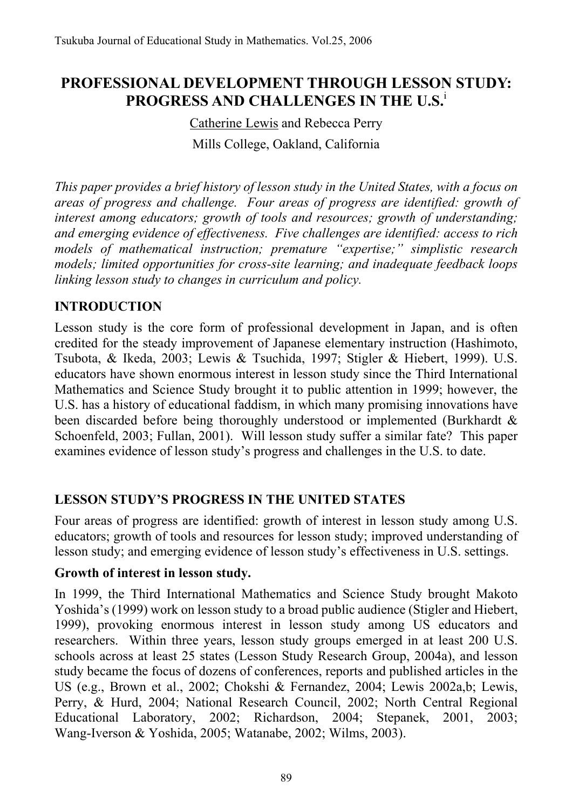# **PROFESSIONAL DEVELOPMENT THROUGH LESSON STUDY: PROGRESS AND CHALLENGES IN THE U.S.**<sup>i</sup>

# Catherine Lewis and Rebecca Perry Mills College, Oakland, California

*This paper provides a brief history of lesson study in the United States, with a focus on areas of progress and challenge. Four areas of progress are identified: growth of interest among educators; growth of tools and resources; growth of understanding; and emerging evidence of effectiveness. Five challenges are identified: access to rich models of mathematical instruction; premature "expertise;" simplistic research models; limited opportunities for cross-site learning; and inadequate feedback loops linking lesson study to changes in curriculum and policy.* 

### **INTRODUCTION**

Lesson study is the core form of professional development in Japan, and is often credited for the steady improvement of Japanese elementary instruction (Hashimoto, Tsubota, & Ikeda, 2003; Lewis & Tsuchida, 1997; Stigler & Hiebert, 1999). U.S. educators have shown enormous interest in lesson study since the Third International Mathematics and Science Study brought it to public attention in 1999; however, the U.S. has a history of educational faddism, in which many promising innovations have been discarded before being thoroughly understood or implemented (Burkhardt & Schoenfeld, 2003; Fullan, 2001). Will lesson study suffer a similar fate? This paper examines evidence of lesson study's progress and challenges in the U.S. to date.

### **LESSON STUDY'S PROGRESS IN THE UNITED STATES**

Four areas of progress are identified: growth of interest in lesson study among U.S. educators; growth of tools and resources for lesson study; improved understanding of lesson study; and emerging evidence of lesson study's effectiveness in U.S. settings.

#### **Growth of interest in lesson study.**

In 1999, the Third International Mathematics and Science Study brought Makoto Yoshida's (1999) work on lesson study to a broad public audience (Stigler and Hiebert, 1999), provoking enormous interest in lesson study among US educators and researchers. Within three years, lesson study groups emerged in at least 200 U.S. schools across at least 25 states (Lesson Study Research Group, 2004a), and lesson study became the focus of dozens of conferences, reports and published articles in the US (e.g., Brown et al., 2002; Chokshi & Fernandez, 2004; Lewis 2002a,b; Lewis, Perry, & Hurd, 2004; National Research Council, 2002; North Central Regional Educational Laboratory, 2002; Richardson, 2004; Stepanek, 2001, 2003; Wang-Iverson & Yoshida, 2005; Watanabe, 2002; Wilms, 2003).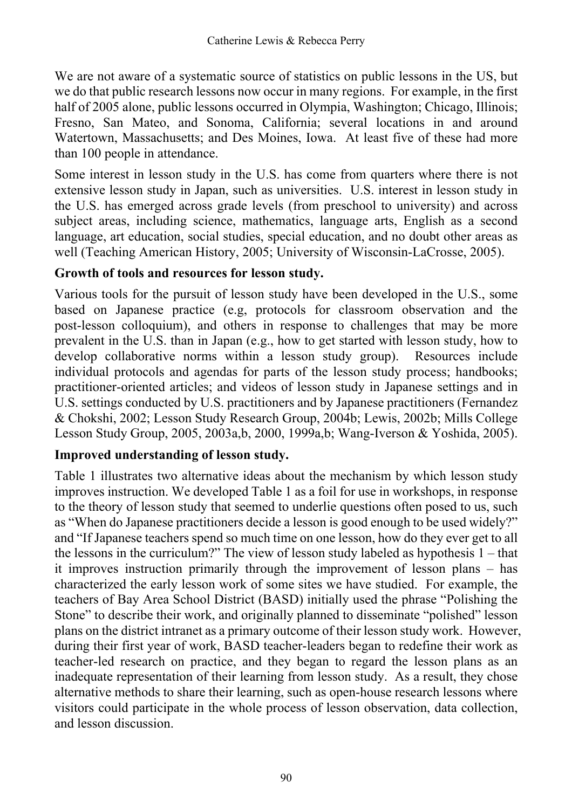We are not aware of a systematic source of statistics on public lessons in the US, but we do that public research lessons now occur in many regions. For example, in the first half of 2005 alone, public lessons occurred in Olympia, Washington; Chicago, Illinois; Fresno, San Mateo, and Sonoma, California; several locations in and around Watertown, Massachusetts; and Des Moines, Iowa. At least five of these had more than 100 people in attendance.

Some interest in lesson study in the U.S. has come from quarters where there is not extensive lesson study in Japan, such as universities. U.S. interest in lesson study in the U.S. has emerged across grade levels (from preschool to university) and across subject areas, including science, mathematics, language arts, English as a second language, art education, social studies, special education, and no doubt other areas as well (Teaching American History, 2005; University of Wisconsin-LaCrosse, 2005).

#### **Growth of tools and resources for lesson study.**

Various tools for the pursuit of lesson study have been developed in the U.S., some based on Japanese practice (e.g, protocols for classroom observation and the post-lesson colloquium), and others in response to challenges that may be more prevalent in the U.S. than in Japan (e.g., how to get started with lesson study, how to develop collaborative norms within a lesson study group). Resources include individual protocols and agendas for parts of the lesson study process; handbooks; practitioner-oriented articles; and videos of lesson study in Japanese settings and in U.S. settings conducted by U.S. practitioners and by Japanese practitioners (Fernandez & Chokshi, 2002; Lesson Study Research Group, 2004b; Lewis, 2002b; Mills College Lesson Study Group, 2005, 2003a,b, 2000, 1999a,b; Wang-Iverson & Yoshida, 2005).

#### **Improved understanding of lesson study.**

Table 1 illustrates two alternative ideas about the mechanism by which lesson study improves instruction. We developed Table 1 as a foil for use in workshops, in response to the theory of lesson study that seemed to underlie questions often posed to us, such as "When do Japanese practitioners decide a lesson is good enough to be used widely?" and "If Japanese teachers spend so much time on one lesson, how do they ever get to all the lessons in the curriculum?" The view of lesson study labeled as hypothesis 1 – that it improves instruction primarily through the improvement of lesson plans – has characterized the early lesson work of some sites we have studied. For example, the teachers of Bay Area School District (BASD) initially used the phrase "Polishing the Stone" to describe their work, and originally planned to disseminate "polished" lesson plans on the district intranet as a primary outcome of their lesson study work. However, during their first year of work, BASD teacher-leaders began to redefine their work as teacher-led research on practice, and they began to regard the lesson plans as an inadequate representation of their learning from lesson study. As a result, they chose alternative methods to share their learning, such as open-house research lessons where visitors could participate in the whole process of lesson observation, data collection, and lesson discussion.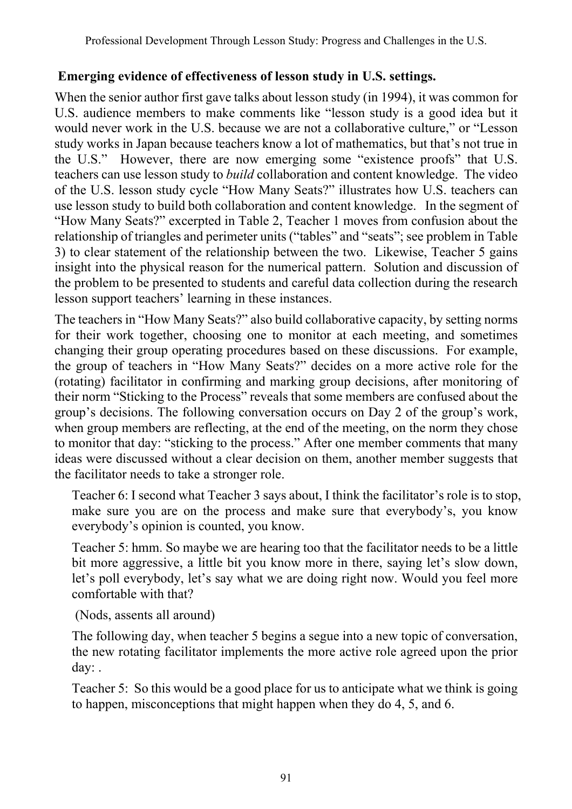### **Emerging evidence of effectiveness of lesson study in U.S. settings.**

When the senior author first gave talks about lesson study (in 1994), it was common for U.S. audience members to make comments like "lesson study is a good idea but it would never work in the U.S. because we are not a collaborative culture," or "Lesson study works in Japan because teachers know a lot of mathematics, but that's not true in the U.S." However, there are now emerging some "existence proofs" that U.S. teachers can use lesson study to *build* collaboration and content knowledge. The video of the U.S. lesson study cycle "How Many Seats?" illustrates how U.S. teachers can use lesson study to build both collaboration and content knowledge. In the segment of "How Many Seats?" excerpted in Table 2, Teacher 1 moves from confusion about the relationship of triangles and perimeter units ("tables" and "seats"; see problem in Table 3) to clear statement of the relationship between the two. Likewise, Teacher 5 gains insight into the physical reason for the numerical pattern. Solution and discussion of the problem to be presented to students and careful data collection during the research lesson support teachers' learning in these instances.

The teachers in "How Many Seats?" also build collaborative capacity, by setting norms for their work together, choosing one to monitor at each meeting, and sometimes changing their group operating procedures based on these discussions. For example, the group of teachers in "How Many Seats?" decides on a more active role for the (rotating) facilitator in confirming and marking group decisions, after monitoring of their norm "Sticking to the Process" reveals that some members are confused about the group's decisions. The following conversation occurs on Day 2 of the group's work, when group members are reflecting, at the end of the meeting, on the norm they chose to monitor that day: "sticking to the process." After one member comments that many ideas were discussed without a clear decision on them, another member suggests that the facilitator needs to take a stronger role.

Teacher 6: I second what Teacher 3 says about, I think the facilitator's role is to stop, make sure you are on the process and make sure that everybody's, you know everybody's opinion is counted, you know.

Teacher 5: hmm. So maybe we are hearing too that the facilitator needs to be a little bit more aggressive, a little bit you know more in there, saying let's slow down, let's poll everybody, let's say what we are doing right now. Would you feel more comfortable with that?

(Nods, assents all around)

The following day, when teacher 5 begins a segue into a new topic of conversation, the new rotating facilitator implements the more active role agreed upon the prior day: .

Teacher 5: So this would be a good place for us to anticipate what we think is going to happen, misconceptions that might happen when they do 4, 5, and 6.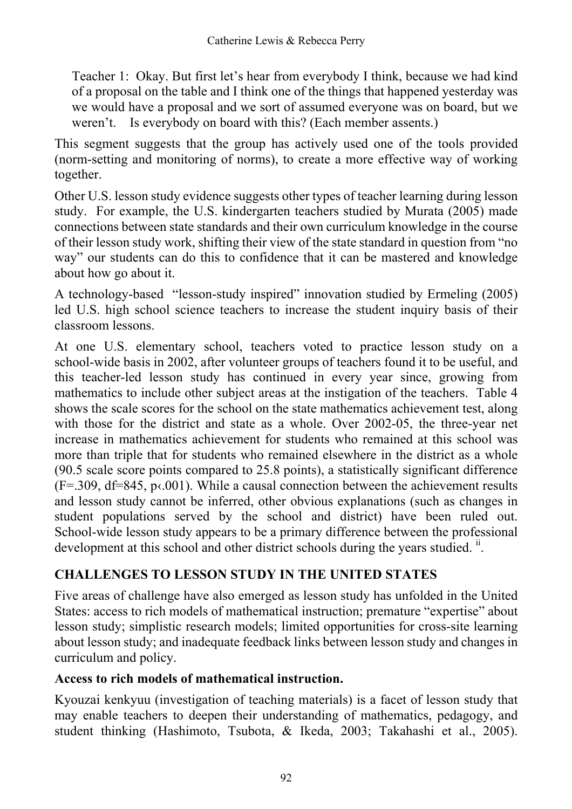Teacher 1: Okay. But first let's hear from everybody I think, because we had kind of a proposal on the table and I think one of the things that happened yesterday was we would have a proposal and we sort of assumed everyone was on board, but we weren't. Is everybody on board with this? (Each member assents.)

This segment suggests that the group has actively used one of the tools provided (norm-setting and monitoring of norms), to create a more effective way of working together.

Other U.S. lesson study evidence suggests other types of teacher learning during lesson study. For example, the U.S. kindergarten teachers studied by Murata (2005) made connections between state standards and their own curriculum knowledge in the course of their lesson study work, shifting their view of the state standard in question from "no way" our students can do this to confidence that it can be mastered and knowledge about how go about it.

A technology-based "lesson-study inspired" innovation studied by Ermeling (2005) led U.S. high school science teachers to increase the student inquiry basis of their classroom lessons.

At one U.S. elementary school, teachers voted to practice lesson study on a school-wide basis in 2002, after volunteer groups of teachers found it to be useful, and this teacher-led lesson study has continued in every year since, growing from mathematics to include other subject areas at the instigation of the teachers. Table 4 shows the scale scores for the school on the state mathematics achievement test, along with those for the district and state as a whole. Over 2002-05, the three-year net increase in mathematics achievement for students who remained at this school was more than triple that for students who remained elsewhere in the district as a whole (90.5 scale score points compared to 25.8 points), a statistically significant difference  $(F=.309, df=845, p \cdot .001)$ . While a causal connection between the achievement results and lesson study cannot be inferred, other obvious explanations (such as changes in student populations served by the school and district) have been ruled out. School-wide lesson study appears to be a primary difference between the professional development at this school and other district schools during the years studied. <sup>ii</sup>.

## **CHALLENGES TO LESSON STUDY IN THE UNITED STATES**

Five areas of challenge have also emerged as lesson study has unfolded in the United States: access to rich models of mathematical instruction; premature "expertise" about lesson study; simplistic research models; limited opportunities for cross-site learning about lesson study; and inadequate feedback links between lesson study and changes in curriculum and policy.

### **Access to rich models of mathematical instruction.**

Kyouzai kenkyuu (investigation of teaching materials) is a facet of lesson study that may enable teachers to deepen their understanding of mathematics, pedagogy, and student thinking (Hashimoto, Tsubota, & Ikeda, 2003; Takahashi et al., 2005).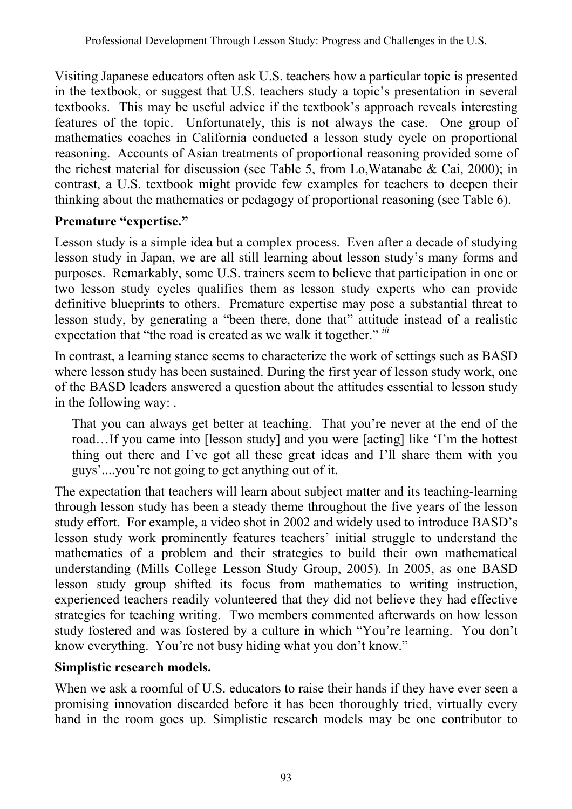Visiting Japanese educators often ask U.S. teachers how a particular topic is presented in the textbook, or suggest that U.S. teachers study a topic's presentation in several textbooks. This may be useful advice if the textbook's approach reveals interesting features of the topic. Unfortunately, this is not always the case. One group of mathematics coaches in California conducted a lesson study cycle on proportional reasoning. Accounts of Asian treatments of proportional reasoning provided some of the richest material for discussion (see Table 5, from Lo,Watanabe & Cai, 2000); in contrast, a U.S. textbook might provide few examples for teachers to deepen their thinking about the mathematics or pedagogy of proportional reasoning (see Table 6).

### **Premature "expertise."**

Lesson study is a simple idea but a complex process. Even after a decade of studying lesson study in Japan, we are all still learning about lesson study's many forms and purposes. Remarkably, some U.S. trainers seem to believe that participation in one or two lesson study cycles qualifies them as lesson study experts who can provide definitive blueprints to others. Premature expertise may pose a substantial threat to lesson study, by generating a "been there, done that" attitude instead of a realistic expectation that "the road is created as we walk it together." *iii* 

In contrast, a learning stance seems to characterize the work of settings such as BASD where lesson study has been sustained. During the first year of lesson study work, one of the BASD leaders answered a question about the attitudes essential to lesson study in the following way: .

That you can always get better at teaching. That you're never at the end of the road…If you came into [lesson study] and you were [acting] like 'I'm the hottest thing out there and I've got all these great ideas and I'll share them with you guys'....you're not going to get anything out of it.

The expectation that teachers will learn about subject matter and its teaching-learning through lesson study has been a steady theme throughout the five years of the lesson study effort. For example, a video shot in 2002 and widely used to introduce BASD's lesson study work prominently features teachers' initial struggle to understand the mathematics of a problem and their strategies to build their own mathematical understanding (Mills College Lesson Study Group, 2005). In 2005, as one BASD lesson study group shifted its focus from mathematics to writing instruction, experienced teachers readily volunteered that they did not believe they had effective strategies for teaching writing. Two members commented afterwards on how lesson study fostered and was fostered by a culture in which "You're learning. You don't know everything. You're not busy hiding what you don't know."

#### **Simplistic research models.**

When we ask a roomful of U.S. educators to raise their hands if they have ever seen a promising innovation discarded before it has been thoroughly tried, virtually every hand in the room goes up*.* Simplistic research models may be one contributor to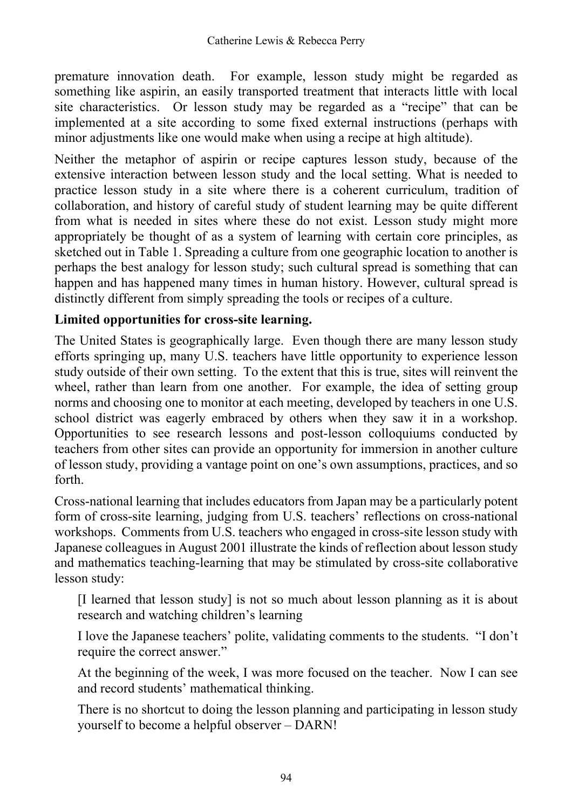premature innovation death. For example, lesson study might be regarded as something like aspirin, an easily transported treatment that interacts little with local site characteristics. Or lesson study may be regarded as a "recipe" that can be implemented at a site according to some fixed external instructions (perhaps with minor adjustments like one would make when using a recipe at high altitude).

Neither the metaphor of aspirin or recipe captures lesson study, because of the extensive interaction between lesson study and the local setting. What is needed to practice lesson study in a site where there is a coherent curriculum, tradition of collaboration, and history of careful study of student learning may be quite different from what is needed in sites where these do not exist. Lesson study might more appropriately be thought of as a system of learning with certain core principles, as sketched out in Table 1. Spreading a culture from one geographic location to another is perhaps the best analogy for lesson study; such cultural spread is something that can happen and has happened many times in human history. However, cultural spread is distinctly different from simply spreading the tools or recipes of a culture.

#### **Limited opportunities for cross-site learning.**

The United States is geographically large. Even though there are many lesson study efforts springing up, many U.S. teachers have little opportunity to experience lesson study outside of their own setting. To the extent that this is true, sites will reinvent the wheel, rather than learn from one another. For example, the idea of setting group norms and choosing one to monitor at each meeting, developed by teachers in one U.S. school district was eagerly embraced by others when they saw it in a workshop. Opportunities to see research lessons and post-lesson colloquiums conducted by teachers from other sites can provide an opportunity for immersion in another culture of lesson study, providing a vantage point on one's own assumptions, practices, and so forth.

Cross-national learning that includes educators from Japan may be a particularly potent form of cross-site learning, judging from U.S. teachers' reflections on cross-national workshops. Comments from U.S. teachers who engaged in cross-site lesson study with Japanese colleagues in August 2001 illustrate the kinds of reflection about lesson study and mathematics teaching-learning that may be stimulated by cross-site collaborative lesson study:

[I learned that lesson study] is not so much about lesson planning as it is about research and watching children's learning

I love the Japanese teachers' polite, validating comments to the students. "I don't require the correct answer."

At the beginning of the week, I was more focused on the teacher. Now I can see and record students' mathematical thinking.

There is no shortcut to doing the lesson planning and participating in lesson study yourself to become a helpful observer – DARN!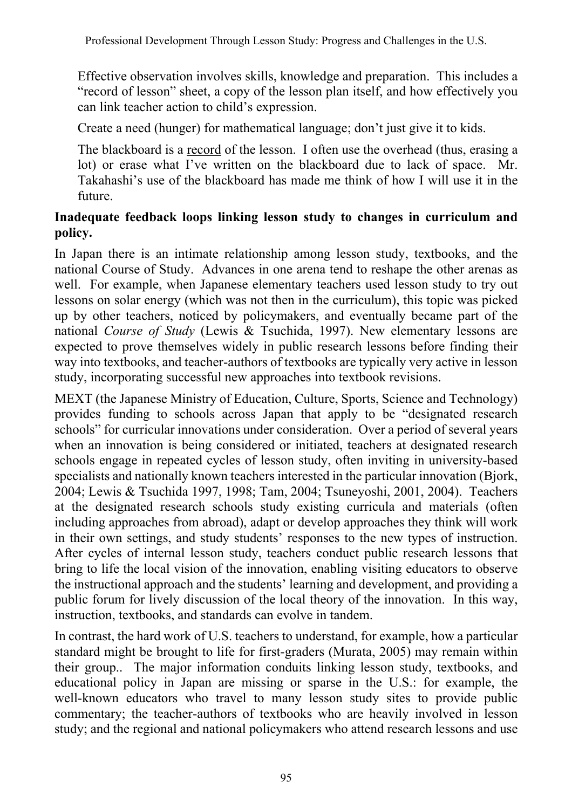Effective observation involves skills, knowledge and preparation. This includes a "record of lesson" sheet, a copy of the lesson plan itself, and how effectively you can link teacher action to child's expression.

Create a need (hunger) for mathematical language; don't just give it to kids.

The blackboard is a record of the lesson. I often use the overhead (thus, erasing a lot) or erase what I've written on the blackboard due to lack of space. Mr. Takahashi's use of the blackboard has made me think of how I will use it in the future.

### **Inadequate feedback loops linking lesson study to changes in curriculum and policy.**

In Japan there is an intimate relationship among lesson study, textbooks, and the national Course of Study. Advances in one arena tend to reshape the other arenas as well. For example, when Japanese elementary teachers used lesson study to try out lessons on solar energy (which was not then in the curriculum), this topic was picked up by other teachers, noticed by policymakers, and eventually became part of the national *Course of Study* (Lewis & Tsuchida, 1997). New elementary lessons are expected to prove themselves widely in public research lessons before finding their way into textbooks, and teacher-authors of textbooks are typically very active in lesson study, incorporating successful new approaches into textbook revisions.

MEXT (the Japanese Ministry of Education, Culture, Sports, Science and Technology) provides funding to schools across Japan that apply to be "designated research schools" for curricular innovations under consideration. Over a period of several years when an innovation is being considered or initiated, teachers at designated research schools engage in repeated cycles of lesson study, often inviting in university-based specialists and nationally known teachers interested in the particular innovation (Bjork, 2004; Lewis & Tsuchida 1997, 1998; Tam, 2004; Tsuneyoshi, 2001, 2004). Teachers at the designated research schools study existing curricula and materials (often including approaches from abroad), adapt or develop approaches they think will work in their own settings, and study students' responses to the new types of instruction. After cycles of internal lesson study, teachers conduct public research lessons that bring to life the local vision of the innovation, enabling visiting educators to observe the instructional approach and the students' learning and development, and providing a public forum for lively discussion of the local theory of the innovation. In this way, instruction, textbooks, and standards can evolve in tandem.

In contrast, the hard work of U.S. teachers to understand, for example, how a particular standard might be brought to life for first-graders (Murata, 2005) may remain within their group.. The major information conduits linking lesson study, textbooks, and educational policy in Japan are missing or sparse in the U.S.: for example, the well-known educators who travel to many lesson study sites to provide public commentary; the teacher-authors of textbooks who are heavily involved in lesson study; and the regional and national policymakers who attend research lessons and use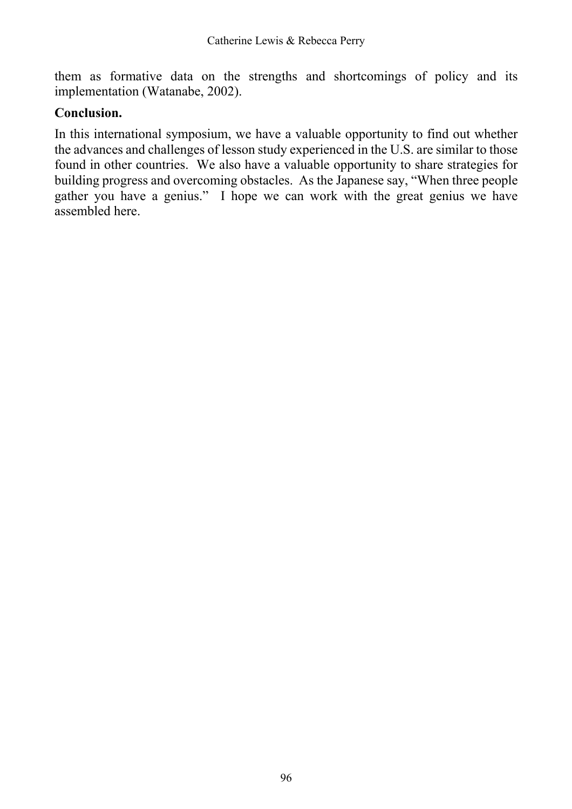them as formative data on the strengths and shortcomings of policy and its implementation (Watanabe, 2002).

#### **Conclusion.**

In this international symposium, we have a valuable opportunity to find out whether the advances and challenges of lesson study experienced in the U.S. are similar to those found in other countries. We also have a valuable opportunity to share strategies for building progress and overcoming obstacles. As the Japanese say, "When three people gather you have a genius." I hope we can work with the great genius we have assembled here.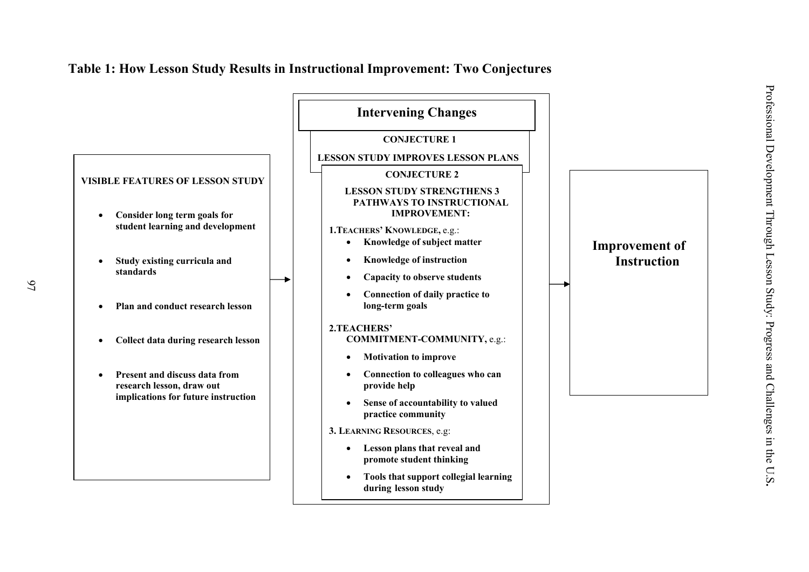

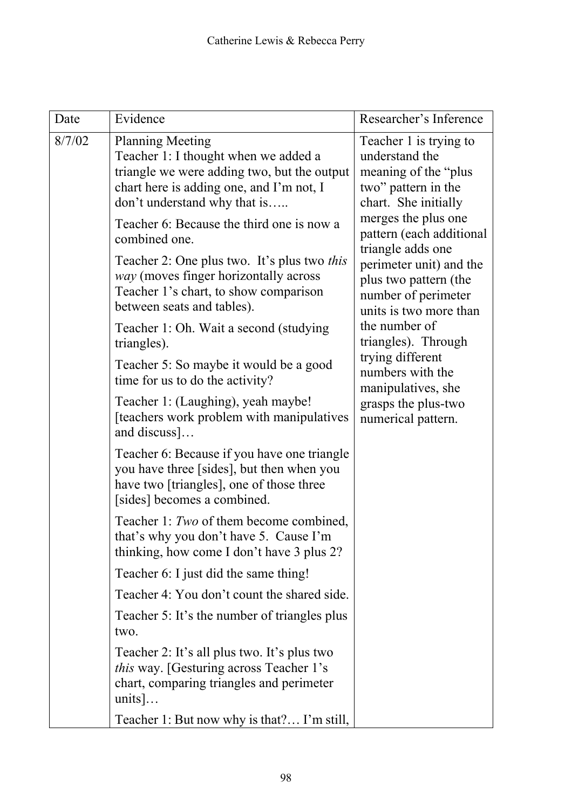| Date   | Evidence                                                                                                                                                                                   | Researcher's Inference                                                                                                                                                                                                                                                                                                                                                                                                                           |
|--------|--------------------------------------------------------------------------------------------------------------------------------------------------------------------------------------------|--------------------------------------------------------------------------------------------------------------------------------------------------------------------------------------------------------------------------------------------------------------------------------------------------------------------------------------------------------------------------------------------------------------------------------------------------|
| 8/7/02 | <b>Planning Meeting</b><br>Teacher 1: I thought when we added a<br>triangle we were adding two, but the output<br>chart here is adding one, and I'm not, I<br>don't understand why that is | Teacher 1 is trying to<br>understand the<br>meaning of the "plus"<br>two" pattern in the<br>chart. She initially<br>merges the plus one<br>pattern (each additional<br>triangle adds one<br>perimeter unit) and the<br>plus two pattern (the<br>number of perimeter<br>units is two more than<br>the number of<br>triangles). Through<br>trying different<br>numbers with the<br>manipulatives, she<br>grasps the plus-two<br>numerical pattern. |
|        | Teacher 6: Because the third one is now a<br>combined one.<br>Teacher 2: One plus two. It's plus two <i>this</i>                                                                           |                                                                                                                                                                                                                                                                                                                                                                                                                                                  |
|        | way (moves finger horizontally across<br>Teacher 1's chart, to show comparison<br>between seats and tables).                                                                               |                                                                                                                                                                                                                                                                                                                                                                                                                                                  |
|        | Teacher 1: Oh. Wait a second (studying)<br>triangles).                                                                                                                                     |                                                                                                                                                                                                                                                                                                                                                                                                                                                  |
|        | Teacher 5: So maybe it would be a good<br>time for us to do the activity?                                                                                                                  |                                                                                                                                                                                                                                                                                                                                                                                                                                                  |
|        | Teacher 1: (Laughing), yeah maybe!<br>[teachers work problem with manipulatives<br>and discuss]                                                                                            |                                                                                                                                                                                                                                                                                                                                                                                                                                                  |
|        | Teacher 6: Because if you have one triangle<br>you have three [sides], but then when you<br>have two [triangles], one of those three<br>[sides] becomes a combined.                        |                                                                                                                                                                                                                                                                                                                                                                                                                                                  |
|        | Teacher 1: Two of them become combined,<br>that's why you don't have 5. Cause I'm<br>thinking, how come I don't have 3 plus 2?                                                             |                                                                                                                                                                                                                                                                                                                                                                                                                                                  |
|        | Teacher 6: I just did the same thing!                                                                                                                                                      |                                                                                                                                                                                                                                                                                                                                                                                                                                                  |
|        | Teacher 4: You don't count the shared side.                                                                                                                                                |                                                                                                                                                                                                                                                                                                                                                                                                                                                  |
|        | Teacher 5: It's the number of triangles plus<br>two.                                                                                                                                       |                                                                                                                                                                                                                                                                                                                                                                                                                                                  |
|        | Teacher 2: It's all plus two. It's plus two<br><i>this</i> way. [Gesturing across Teacher 1's<br>chart, comparing triangles and perimeter<br>units]                                        |                                                                                                                                                                                                                                                                                                                                                                                                                                                  |
|        | Teacher 1: But now why is that? I'm still,                                                                                                                                                 |                                                                                                                                                                                                                                                                                                                                                                                                                                                  |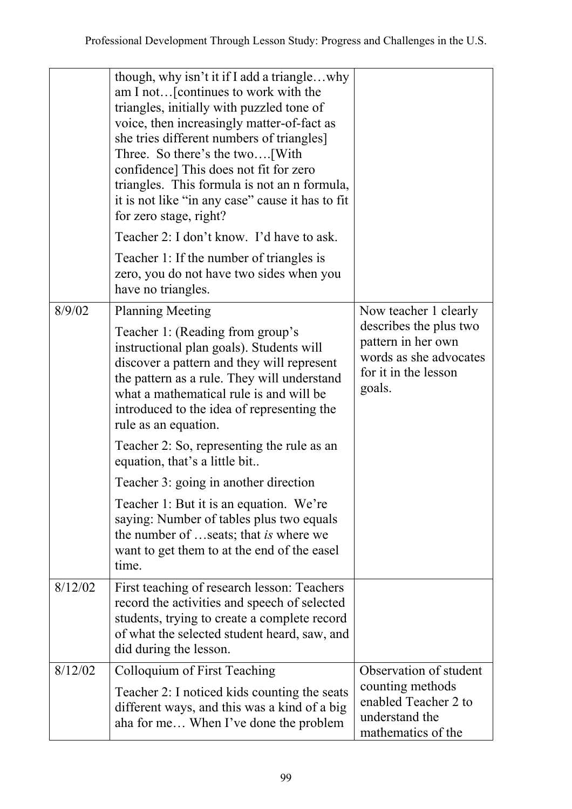|         | though, why isn't it if I add a trianglewhy<br>am I not [continues to work with the<br>triangles, initially with puzzled tone of<br>voice, then increasingly matter-of-fact as<br>she tries different numbers of triangles]<br>Three. So there's the two [With]<br>confidence] This does not fit for zero<br>triangles. This formula is not an n formula,<br>it is not like "in any case" cause it has to fit<br>for zero stage, right?<br>Teacher 2: I don't know. I'd have to ask. |                                                                                                          |
|---------|--------------------------------------------------------------------------------------------------------------------------------------------------------------------------------------------------------------------------------------------------------------------------------------------------------------------------------------------------------------------------------------------------------------------------------------------------------------------------------------|----------------------------------------------------------------------------------------------------------|
|         | Teacher 1: If the number of triangles is<br>zero, you do not have two sides when you<br>have no triangles.                                                                                                                                                                                                                                                                                                                                                                           |                                                                                                          |
| 8/9/02  | <b>Planning Meeting</b>                                                                                                                                                                                                                                                                                                                                                                                                                                                              | Now teacher 1 clearly                                                                                    |
|         | Teacher 1: (Reading from group's<br>instructional plan goals). Students will<br>discover a pattern and they will represent<br>the pattern as a rule. They will understand<br>what a mathematical rule is and will be<br>introduced to the idea of representing the<br>rule as an equation.                                                                                                                                                                                           | describes the plus two<br>pattern in her own<br>words as she advocates<br>for it in the lesson<br>goals. |
|         | Teacher 2: So, representing the rule as an<br>equation, that's a little bit                                                                                                                                                                                                                                                                                                                                                                                                          |                                                                                                          |
|         | Teacher 3: going in another direction                                                                                                                                                                                                                                                                                                                                                                                                                                                |                                                                                                          |
|         | Teacher 1: But it is an equation. We're<br>saying: Number of tables plus two equals<br>the number of seats; that is where we<br>want to get them to at the end of the easel<br>time.                                                                                                                                                                                                                                                                                                 |                                                                                                          |
| 8/12/02 | First teaching of research lesson: Teachers<br>record the activities and speech of selected<br>students, trying to create a complete record<br>of what the selected student heard, saw, and<br>did during the lesson.                                                                                                                                                                                                                                                                |                                                                                                          |
| 8/12/02 | Colloquium of First Teaching                                                                                                                                                                                                                                                                                                                                                                                                                                                         | Observation of student                                                                                   |
|         | Teacher 2: I noticed kids counting the seats<br>different ways, and this was a kind of a big<br>aha for me When I've done the problem                                                                                                                                                                                                                                                                                                                                                | counting methods<br>enabled Teacher 2 to<br>understand the<br>mathematics of the                         |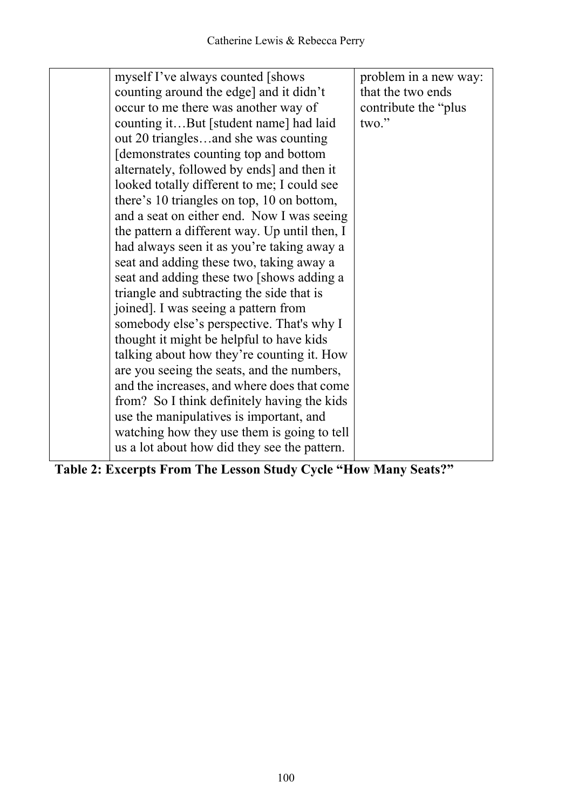| myself I've always counted [shows]            | problem in a new way: |
|-----------------------------------------------|-----------------------|
| counting around the edge] and it didn't       | that the two ends     |
| occur to me there was another way of          | contribute the "plus" |
| counting itBut [student name] had laid        | two."                 |
| out 20 trianglesand she was counting          |                       |
| demonstrates counting top and bottom          |                       |
| alternately, followed by ends] and then it    |                       |
| looked totally different to me; I could see   |                       |
| there's 10 triangles on top, 10 on bottom,    |                       |
| and a seat on either end. Now I was seeing    |                       |
| the pattern a different way. Up until then, I |                       |
| had always seen it as you're taking away a    |                       |
| seat and adding these two, taking away a      |                       |
| seat and adding these two [shows adding a     |                       |
| triangle and subtracting the side that is     |                       |
| joined]. I was seeing a pattern from          |                       |
| somebody else's perspective. That's why I     |                       |
| thought it might be helpful to have kids      |                       |
| talking about how they're counting it. How    |                       |
| are you seeing the seats, and the numbers,    |                       |
| and the increases, and where does that come   |                       |
| from? So I think definitely having the kids   |                       |
| use the manipulatives is important, and       |                       |
| watching how they use them is going to tell   |                       |
| us a lot about how did they see the pattern.  |                       |
|                                               |                       |

**Table 2: Excerpts From The Lesson Study Cycle "How Many Seats?"**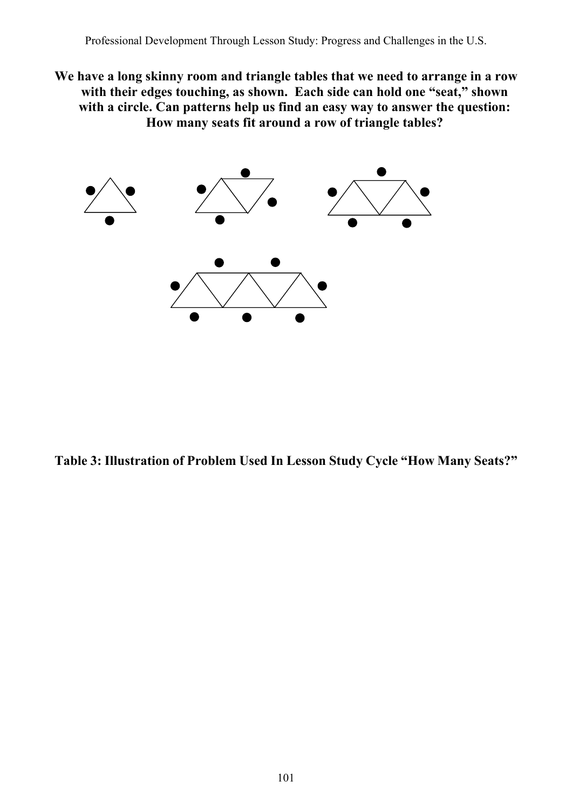**We have a long skinny room and triangle tables that we need to arrange in a row**  with their edges touching, as shown. Each side can hold one "seat," shown **with a circle. Can patterns help us find an easy way to answer the question: How many seats fit around a row of triangle tables?** 



**Table 3: Illustration of Problem Used In Lesson Study Cycle "How Many Seats?"**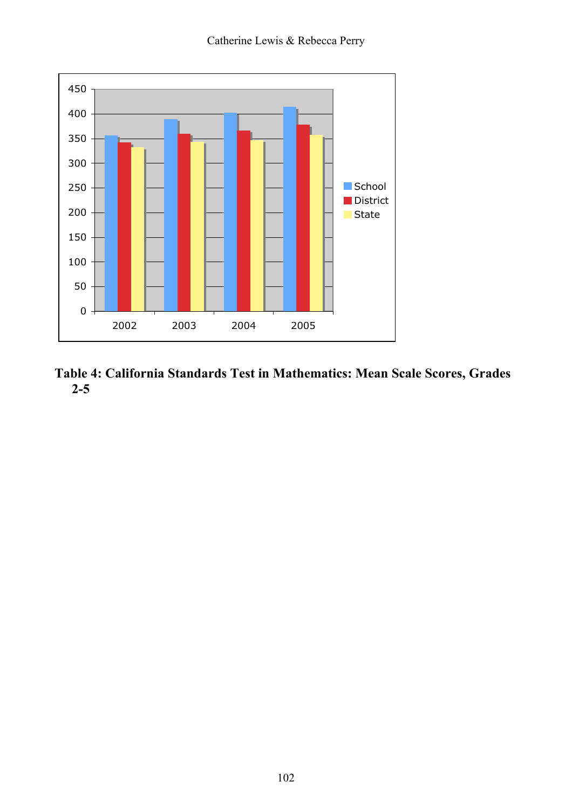

**Table 4: California Standards Test in Mathematics: Mean Scale Scores, Grades 2-5**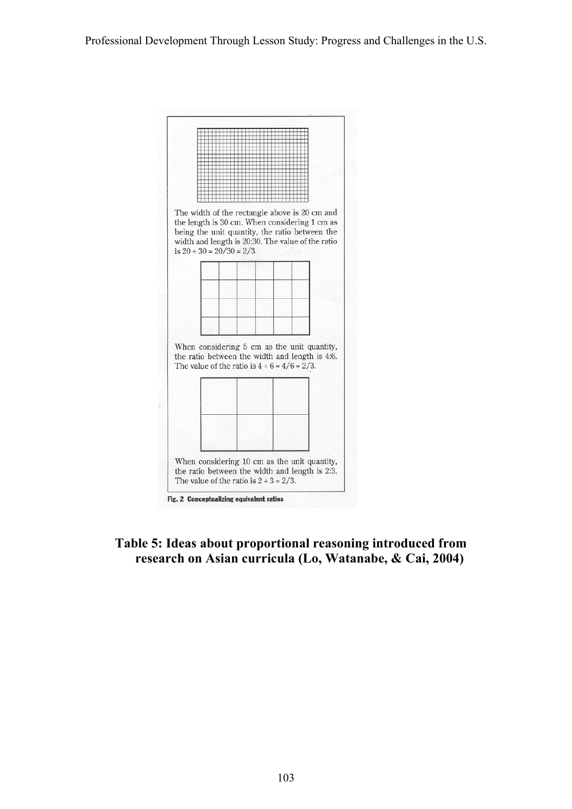

#### **Table 5: Ideas about proportional reasoning introduced from research on Asian curricula (Lo, Watanabe, & Cai, 2004)**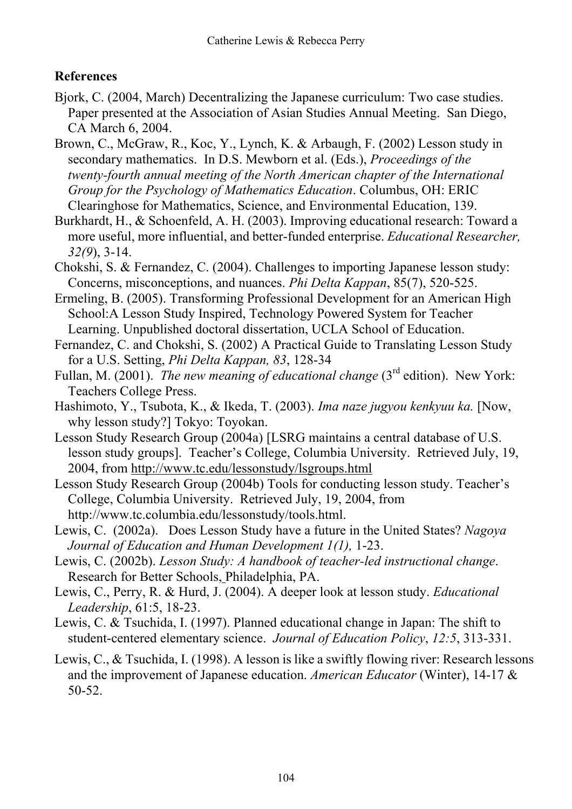### **References**

- Bjork, C. (2004, March) Decentralizing the Japanese curriculum: Two case studies. Paper presented at the Association of Asian Studies Annual Meeting. San Diego, CA March 6, 2004.
- Brown, C., McGraw, R., Koc, Y., Lynch, K. & Arbaugh, F. (2002) Lesson study in secondary mathematics. In D.S. Mewborn et al. (Eds.), *Proceedings of the twenty-fourth annual meeting of the North American chapter of the International Group for the Psychology of Mathematics Education*. Columbus, OH: ERIC Clearinghose for Mathematics, Science, and Environmental Education, 139.
- Burkhardt, H., & Schoenfeld, A. H. (2003). Improving educational research: Toward a more useful, more influential, and better-funded enterprise. *Educational Researcher, 32(9*), 3-14.
- Chokshi, S. & Fernandez, C. (2004). Challenges to importing Japanese lesson study: Concerns, misconceptions, and nuances. *Phi Delta Kappan*, 85(7), 520-525.
- Ermeling, B. (2005). Transforming Professional Development for an American High School:A Lesson Study Inspired, Technology Powered System for Teacher Learning. Unpublished doctoral dissertation, UCLA School of Education.
- Fernandez, C. and Chokshi, S. (2002) A Practical Guide to Translating Lesson Study for a U.S. Setting, *Phi Delta Kappan, 83*, 128-34
- Fullan, M. (2001). *The new meaning of educational change* (3<sup>rd</sup> edition). New York: Teachers College Press.
- Hashimoto, Y., Tsubota, K., & Ikeda, T. (2003). *Ima naze jugyou kenkyuu ka.* [Now, why lesson study?] Tokyo: Toyokan.
- Lesson Study Research Group (2004a) [LSRG maintains a central database of U.S. lesson study groups]. Teacher's College, Columbia University. Retrieved July, 19, 2004, from http://www.tc.edu/lessonstudy/lsgroups.html
- Lesson Study Research Group (2004b) Tools for conducting lesson study. Teacher's College, Columbia University. Retrieved July, 19, 2004, from http://www.tc.columbia.edu/lessonstudy/tools.html.
- Lewis, C. (2002a). Does Lesson Study have a future in the United States? *Nagoya Journal of Education and Human Development 1(1),* 1-23.
- Lewis, C. (2002b). *Lesson Study: A handbook of teacher-led instructional change*. Research for Better Schools, Philadelphia, PA.
- Lewis, C., Perry, R. & Hurd, J. (2004). A deeper look at lesson study. *Educational Leadership*, 61:5, 18-23.
- Lewis, C. & Tsuchida, I. (1997). Planned educational change in Japan: The shift to student-centered elementary science. *Journal of Education Policy*, *12:5*, 313-331.
- Lewis, C., & Tsuchida, I. (1998). A lesson is like a swiftly flowing river: Research lessons and the improvement of Japanese education. *American Educator* (Winter), 14-17 & 50-52.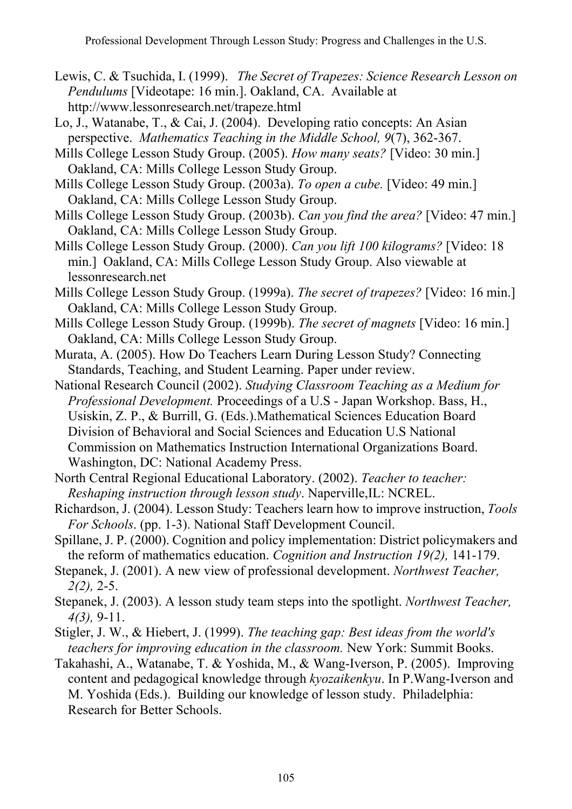- Lewis, C. & Tsuchida, I. (1999). *The Secret of Trapezes: Science Research Lesson on Pendulums* [Videotape: 16 min.]. Oakland, CA. Available at http://www.lessonresearch.net/trapeze.html
- Lo, J., Watanabe, T., & Cai, J. (2004). Developing ratio concepts: An Asian perspective. *Mathematics Teaching in the Middle School, 9*(7), 362-367.
- Mills College Lesson Study Group. (2005). *How many seats?* [Video: 30 min.] Oakland, CA: Mills College Lesson Study Group.
- Mills College Lesson Study Group. (2003a). *To open a cube.* [Video: 49 min.] Oakland, CA: Mills College Lesson Study Group.
- Mills College Lesson Study Group. (2003b). *Can you find the area?* [Video: 47 min.] Oakland, CA: Mills College Lesson Study Group.
- Mills College Lesson Study Group. (2000). *Can you lift 100 kilograms?* [Video: 18 min.] Oakland, CA: Mills College Lesson Study Group. Also viewable at lessonresearch.net
- Mills College Lesson Study Group. (1999a). *The secret of trapezes?* [Video: 16 min.] Oakland, CA: Mills College Lesson Study Group.
- Mills College Lesson Study Group. (1999b). *The secret of magnets* [Video: 16 min.] Oakland, CA: Mills College Lesson Study Group.
- Murata, A. (2005). How Do Teachers Learn During Lesson Study? Connecting Standards, Teaching, and Student Learning. Paper under review.
- National Research Council (2002). *Studying Classroom Teaching as a Medium for Professional Development.* Proceedings of a U.S - Japan Workshop. Bass, H., Usiskin, Z. P., & Burrill, G. (Eds.).Mathematical Sciences Education Board Division of Behavioral and Social Sciences and Education U.S National Commission on Mathematics Instruction International Organizations Board. Washington, DC: National Academy Press.
- North Central Regional Educational Laboratory. (2002). *Teacher to teacher: Reshaping instruction through lesson study*. Naperville,IL: NCREL.
- Richardson, J. (2004). Lesson Study: Teachers learn how to improve instruction, *Tools For Schools*. (pp. 1-3). National Staff Development Council.
- Spillane, J. P. (2000). Cognition and policy implementation: District policymakers and the reform of mathematics education. *Cognition and Instruction 19(2),* 141-179.
- Stepanek, J. (2001). A new view of professional development. *Northwest Teacher, 2(2),* 2-5.
- Stepanek, J. (2003). A lesson study team steps into the spotlight. *Northwest Teacher, 4(3),* 9-11.
- Stigler, J. W., & Hiebert, J. (1999). *The teaching gap: Best ideas from the world's teachers for improving education in the classroom.* New York: Summit Books.
- Takahashi, A., Watanabe, T. & Yoshida, M., & Wang-Iverson, P. (2005). Improving content and pedagogical knowledge through *kyozaikenkyu*. In P.Wang-Iverson and M. Yoshida (Eds.). Building our knowledge of lesson study. Philadelphia: Research for Better Schools.